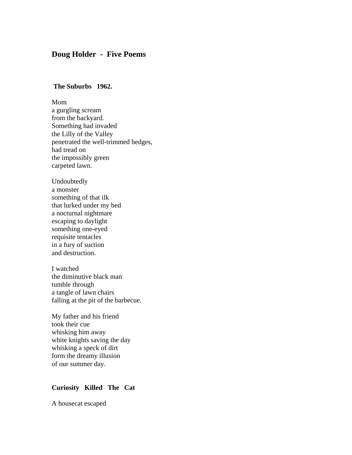# **Doug Holder - Five Poems**

### **The Suburbs 1962.**

### Mom

a gurgling scream from the backyard. Something had invaded the Lilly of the Valley penetrated the well-trimmed hedges, had tread on the impossibly green carpeted lawn.

Undoubtedly a monster something of that ilk that lurked under my bed a nocturnal nightmare escaping to daylight something one-eyed requisite tentacles in a fury of suction and destruction.

I watched the diminutive black man tumble through a tangle of lawn chairs falling at the pit of the barbecue.

My father and his friend took their cue whisking him away white knights saving the day whisking a speck of dirt form the dreamy illusion of our summer day.

### **Curiosity Killed The Cat**

A housecat escaped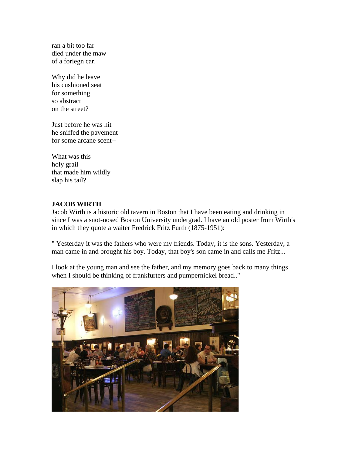ran a bit too far died under the maw of a foriegn car.

Why did he leave his cushioned seat for something so abstract on the street?

Just before he was hit he sniffed the pavement for some arcane scent--

What was this holy grail that made him wildly slap his tail?

## **JACOB WIRTH**

Jacob Wirth is a historic old tavern in Boston that I have been eating and drinking in since I was a snot-nosed Boston University undergrad. I have an old poster from Wirth's in which they quote a waiter Fredrick Fritz Furth (1875-1951):

" Yesterday it was the fathers who were my friends. Today, it is the sons. Yesterday, a man came in and brought his boy. Today, that boy's son came in and calls me Fritz...

I look at the young man and see the father, and my memory goes back to many things when I should be thinking of frankfurters and pumpernickel bread.."

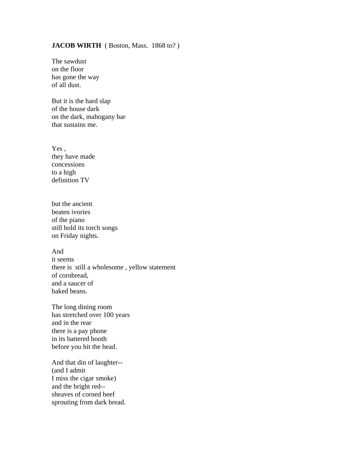### **JACOB WIRTH** ( Boston, Mass. 1868 to? )

The sawdust on the floor has gone the way of all dust.

But it is the hard slap of the house dark on the dark, mahogany bar that sustains me.

Yes , they have made concessions to a high definition TV

but the ancient beaten ivories of the piano still hold its torch songs on Friday nights.

And it seems there is still a wholesome , yellow statement of cornbread, and a saucer of baked beans.

The long dining room has stretched over 100 years and in the rear there is a pay phone in its battered booth before you hit the head.

And that din of laughter-- (and I admit I miss the cigar smoke) and the bright red- sheaves of corned beef sprouting from dark bread.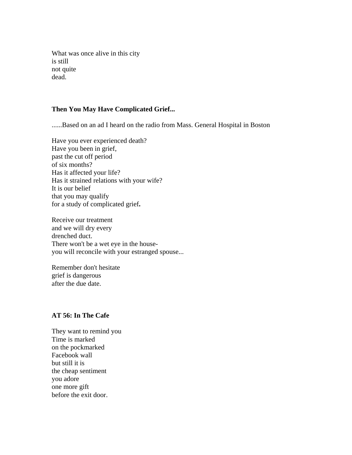What was once alive in this city is still not quite dead.

## **Then You May Have Complicated Grief...**

......Based on an ad I heard on the radio from Mass. General Hospital in Boston

Have you ever experienced death? Have you been in grief, past the cut off period of six months? Has it affected your life? Has it strained relations with your wife? It is our belief that you may qualify for a study of complicated grief**.** 

Receive our treatment and we will dry every drenched duct. There won't be a wet eye in the houseyou will reconcile with your estranged spouse...

Remember don't hesitate grief is dangerous after the due date.

### **AT 56: In The Cafe**

They want to remind you Time is marked on the pockmarked Facebook wall but still it is the cheap sentiment you adore one more gift before the exit door.